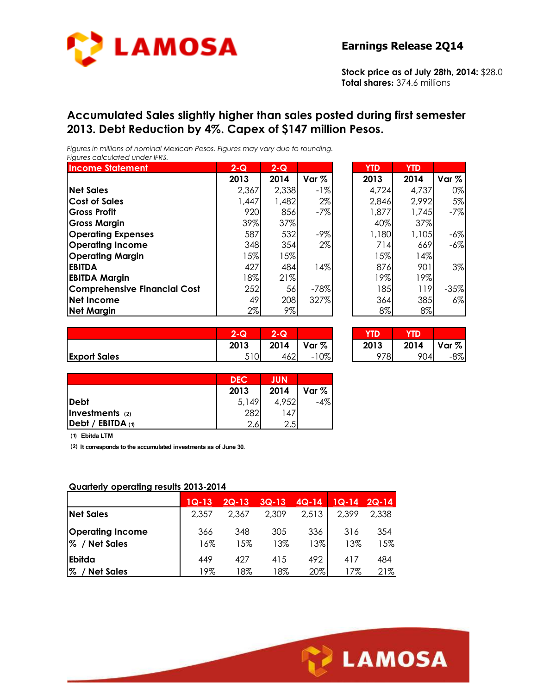

**Stock price as of July 28th, 2014:** \$28.0 **Total shares:** 374.6 millions

#### **Accumulated Sales slightly higher than sales posted during first semester 2013. Debt Reduction by 4%. Capex of \$147 million Pesos.**

*Figures in millions of nominal Mexican Pesos. Figures may vary due to rounding. Figures calculated under IFRS.* 

| <b>Income Statement</b>             | $2 - Q$ | $2 - Q$ |         | <b>YTD</b> | <b>YTD</b> |         |
|-------------------------------------|---------|---------|---------|------------|------------|---------|
|                                     | 2013    | 2014    | Var $%$ | 2013       | 2014       | Var $%$ |
| <b>Net Sales</b>                    | 2,367   | 2,338   | $-1\%$  | 4,724      | 4,737      | 0%      |
| <b>Cost of Sales</b>                | 1,447   | 1,482   | $2\%$   | 2,846      | 2,992      | 5%      |
| <b>Gross Profit</b>                 | 920     | 856     | $-7%$   | 1,877      | 1,745      | $-7%$   |
| <b>Gross Margin</b>                 | 39%     | 37%     |         | 40%        | 37%        |         |
| <b>Operating Expenses</b>           | 587     | 532     | $-9\%$  | 1,180      | 1,105      | $-6%$   |
| <b>Operating Income</b>             | 348     | 354     | $2\%$   | 714        | 669        | $-6%$   |
| <b>Operating Margin</b>             | $15\%$  | $5\%$   |         | 15%l       | 14%        |         |
| <b>EBITDA</b>                       | 427     | 484     | 14%     | 876        | 901        | 3%      |
| <b>EBITDA Margin</b>                | 18%     | 21%     |         | 19%        | 19%        |         |
| <b>Comprehensive Financial Cost</b> | 252     | 56      | $-78%$  | 185        | 119        | $-35%$  |
| Net Income                          | 49      | 208     | 327%    | 364        | 385        | 6%      |
| <b>Net Margin</b>                   | 2%      | $9\%$   |         | 8%         | $8\%$      |         |

| YTD   | YTD   |         |
|-------|-------|---------|
| 2013  | 2014  | Var $%$ |
| 4,724 | 4,737 | 0%      |
| 2,846 | 2,992 | 5%      |
| 1,877 | 1,745 | -7%     |
| 40%   | 37%   |         |
| 1,180 | 1,105 | -6%     |
| 714   | 669   | -6%     |
| 15%   | 14%   |         |
| 876   | 901   | 3%      |
| 19%   | 19%   |         |
| 185   | 119   | $-35%$  |
| 364   | 385   | 6%      |
| 8%    | 8%    |         |

|                     | 2-Q  | ⌒<br>$\overline{\mathbf{Q}}$ |                  | $T\Gamma$<br>w | YD.  |       |
|---------------------|------|------------------------------|------------------|----------------|------|-------|
|                     | 2013 | 2014                         | Var <sub>%</sub> | 2013           | 2014 | Var % |
| <b>Export Sales</b> | 510  | 462                          | $0\%$<br>- 1     | 978            | 904  | $-8%$ |

| $2 - Q$ | $2 - Q$        |        |      |                |        |
|---------|----------------|--------|------|----------------|--------|
| 2013    | 2014   Var $%$ |        | 2013 | 2014   Var $%$ |        |
| 510     | 4621           | $-10%$ | 978  | 904            | $-8\%$ |

|                           | <b>DEC</b> | <b>JUN</b> |       |
|---------------------------|------------|------------|-------|
|                           | 2013       | 2014       | Var % |
| <b>Debt</b>               | 5,149      | 4,952      |       |
| Investments (2)           | 282        | 147        |       |
| $\vert$ Debt / EBITDA (1) | 2.6        | 2.5        |       |

**(1) Ebitda LTM**

**(2) It corresponds to the accumulated investments as of June 30.**

#### **Quarterly operating results 2013-2014**

|                                          | $1Q-13$    | $2Q-13$    | $3Q-13$    | $4Q-14$    | $1Q-14$    | $2Q-14$    |
|------------------------------------------|------------|------------|------------|------------|------------|------------|
| <b>Net Sales</b>                         | 2,357      | 2,367      | 2,309      | 2,513      | 2,399      | 2,338      |
| <b>Operating Income</b><br>% / Net Sales | 366<br>16% | 348<br>15% | 305<br>13% | 336<br>13% | 316<br>13% | 354<br>15% |
| Ebitda                                   | 449        | 427        | 415        | 492        | 417        | 484        |
| $% \mathcal{R}$<br><b>Net Sales</b>      | 9%         | 18%        | 18%        | 20%        | 17%        | 21%        |

Ī

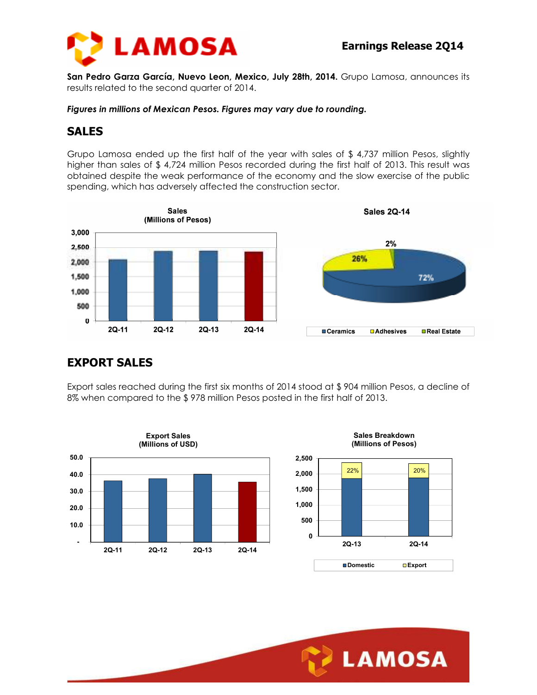

**San Pedro Garza García, Nuevo Leon, Mexico, July 28th, 2014.** Grupo Lamosa, announces its results related to the second quarter of 2014.

*Figures in millions of Mexican Pesos. Figures may vary due to rounding.* 

## **SALES**

Grupo Lamosa ended up the first half of the year with sales of \$ 4,737 million Pesos, slightly higher than sales of \$ 4,724 million Pesos recorded during the first half of 2013. This result was obtained despite the weak performance of the economy and the slow exercise of the public spending, which has adversely affected the construction sector.



## **EXPORT SALES**

Export sales reached during the first six months of 2014 stood at \$ 904 million Pesos, a decline of 8% when compared to the \$ 978 million Pesos posted in the first half of 2013.

Ī





**Sales Breakdown**

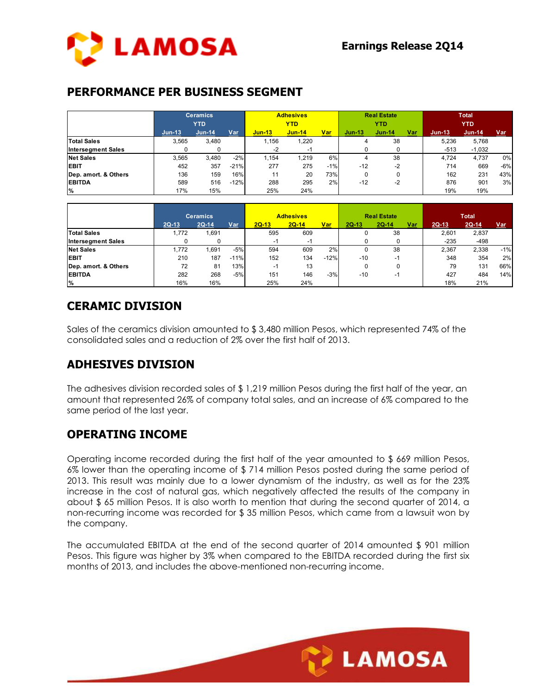

#### **PERFORMANCE PER BUSINESS SEGMENT**

|                           | <b>Ceramics</b><br><b>YTD</b> |          |        |               | <b>Adhesives</b><br><b>YTD</b> |       | <b>Real Estate</b><br><b>YTD</b> |               |     | <b>Total</b><br><b>YTD</b> |          |       |
|---------------------------|-------------------------------|----------|--------|---------------|--------------------------------|-------|----------------------------------|---------------|-----|----------------------------|----------|-------|
|                           | $Jun-13$                      | $Jun-14$ | Var    | <b>Jun-13</b> | <b>Jun-14</b>                  | Var   | $Jun-13$                         | <b>Jun-14</b> | Var | $Jun-13$                   | $Jun-14$ | Var   |
| <b>Total Sales</b>        | 3.565                         | 3.480    |        | 1.156         | 1,220                          |       |                                  | 38            |     | 5.236                      | 5,768    |       |
| <b>Intersegment Sales</b> |                               |          |        | $-2$          | нq                             |       |                                  |               |     | $-513$                     | $-1,032$ |       |
| <b>Net Sales</b>          | 3,565                         | 3.480    | $-2%$  | 1,154         | 1.219                          | 6%    |                                  | 38            |     | 4.724                      | 4,737    | 0%    |
| <b>EBIT</b>               | 452                           | 357      | $-21%$ | 277           | 275                            | $-1%$ | $-12$                            | $-2$          |     | 714                        | 669      | $-6%$ |
| Dep. amort. & Others      | 136                           | 159      | 16%    | 11            | 20                             | 73%   | 0                                |               |     | 162                        | 231      | 43%   |
| <b>EBITDA</b>             | 589                           | 516      | $-12%$ | 288           | 295                            | 2%    | $-12$                            | $-2$          |     | 876                        | 901      | 3%    |
| %                         | 17%                           | 15%      |        | 25%           | 24%                            |       |                                  |               |     | 19%                        | 19%      |       |

|                           | <b>Ceramics</b> |         |        |         | <b>Adhesives</b> |        |         | <b>Real Estate</b>       |     | <b>Total</b> |         |            |
|---------------------------|-----------------|---------|--------|---------|------------------|--------|---------|--------------------------|-----|--------------|---------|------------|
|                           | $2Q-13$         | $2Q-14$ | Var    | $2Q-13$ | $2Q-14$          | Var    | $2Q-13$ | $2Q-14$                  | Var | $2Q-13$      | $2Q-14$ | <u>Var</u> |
| <b>Total Sales</b>        | 1.772           | .691    |        | 595     | 609              |        |         | 38                       |     | 2,601        | 2,837   |            |
| <b>Intersegment Sales</b> |                 |         |        | -1      | -1               |        |         |                          |     | $-235$       | $-498$  |            |
| <b>Net Sales</b>          | 1.772           | .691    | $-5%$  | 594     | 609              | 2%     |         | 38                       |     | 2.367        | 2,338   | $-1%$      |
| <b>EBIT</b>               | 210             | 187     | $-11%$ | 152     | 134              | $-12%$ | $-10$   | ÷                        |     | 348          | 354     | 2%         |
| Dep. amort. & Others      | 72              | 81      | 13%    | -1      | 13               |        |         |                          |     | 79           | 131     | 66%        |
| <b>EBITDA</b>             | 282             | 268     | $-5%$  | 151     | 146              | $-3%$  | $-10$   | $\overline{\phantom{a}}$ |     | 427          | 484     | 14%        |
| ا%                        | 16%             | 16%     |        | 25%     | 24%              |        |         |                          |     | 18%          | 21%     |            |

## **CERAMIC DIVISION**

Sales of the ceramics division amounted to \$ 3,480 million Pesos, which represented 74% of the consolidated sales and a reduction of 2% over the first half of 2013.

## **ADHESIVES DIVISION**

The adhesives division recorded sales of \$ 1,219 million Pesos during the first half of the year, an amount that represented 26% of company total sales, and an increase of 6% compared to the same period of the last year.

## **OPERATING INCOME**

Operating income recorded during the first half of the year amounted to \$ 669 million Pesos, 6% lower than the operating income of \$ 714 million Pesos posted during the same period of 2013. This result was mainly due to a lower dynamism of the industry, as well as for the 23% increase in the cost of natural gas, which negatively affected the results of the company in about \$ 65 million Pesos. It is also worth to mention that during the second quarter of 2014, a non-recurring income was recorded for \$ 35 million Pesos, which came from a lawsuit won by the company.

The accumulated EBITDA at the end of the second quarter of 2014 amounted \$ 901 million Pesos. This figure was higher by 3% when compared to the EBITDA recorded during the first six months of 2013, and includes the above-mentioned non-recurring income.

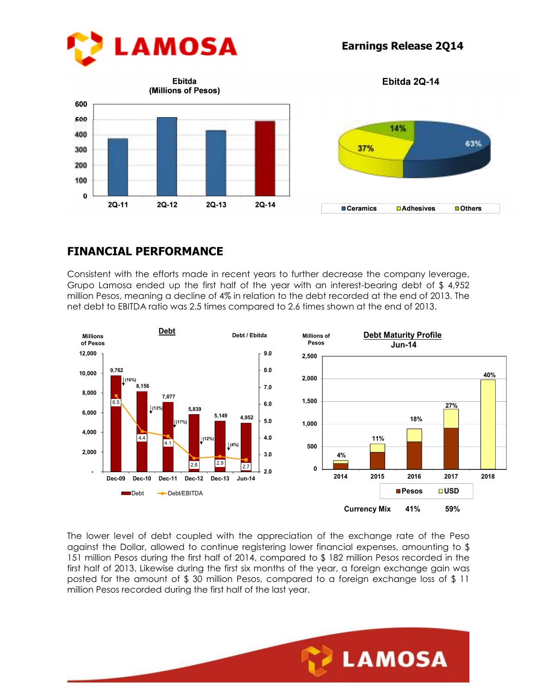







## **FINANCIAL PERFORMANCE**

Consistent with the efforts made in recent years to further decrease the company leverage, Grupo Lamosa ended up the first half of the year with an interest-bearing debt of \$ 4,952 million Pesos, meaning a decline of 4% in relation to the debt recorded at the end of 2013. The net debt to EBITDA ratio was 2.5 times compared to 2.6 times shown at the end of 2013.



The lower level of debt coupled with the appreciation of the exchange rate of the Peso against the Dollar, allowed to continue registering lower financial expenses, amounting to \$ 151 million Pesos during the first half of 2014, compared to \$ 182 million Pesos recorded in the first half of 2013. Likewise during the first six months of the year, a foreign exchange gain was posted for the amount of \$ 30 million Pesos, compared to a foreign exchange loss of \$ 11 million Pesos recorded during the first half of the last year.